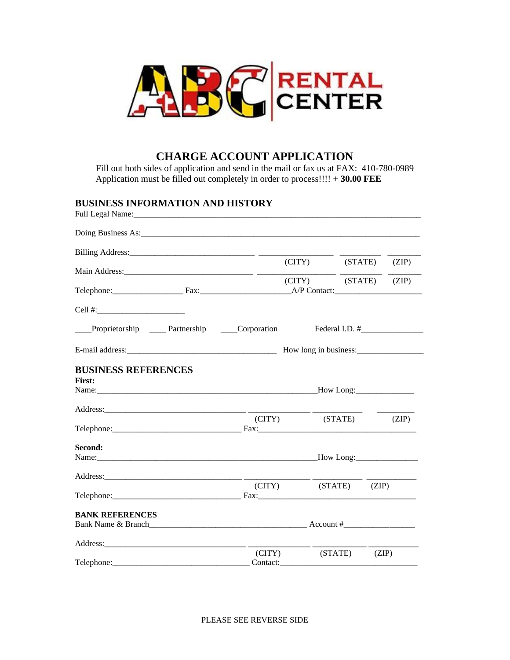

# **CHARGE ACCOUNT APPLICATION**

Fill out both sides of application and send in the mail or fax us at FAX: 410-780-0989 Application must be filled out completely in order to process!!!! + **30.00 FEE**

# **BUSINESS INFORMATION AND HISTORY**

|                                                     |                    | (CITY) (STATE)       |  | (ZIP)          |
|-----------------------------------------------------|--------------------|----------------------|--|----------------|
| Telephone: Fax: Fax: A/P Contact:                   |                    | (CITY) (STATE) (ZIP) |  |                |
| Cell #: $\qquad \qquad$                             |                    |                      |  |                |
| Proprietorship _____ Partnership ______ Corporation |                    |                      |  | Federal I.D. # |
|                                                     |                    |                      |  |                |
| <b>BUSINESS REFERENCES</b><br><b>First:</b>         |                    |                      |  |                |
|                                                     | $\Gamma$ (CITY)    | (STATE)              |  | (ZIP)          |
|                                                     |                    |                      |  |                |
| Second:                                             |                    |                      |  |                |
|                                                     |                    |                      |  |                |
|                                                     |                    | (CITY) (STATE)       |  | (ZIP)          |
| <b>BANK REFERENCES</b>                              |                    |                      |  |                |
|                                                     |                    |                      |  |                |
|                                                     | (CITY)<br>Contact: | (STATE)              |  | (ZIP)          |